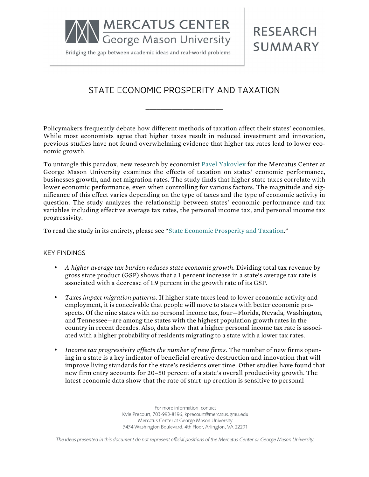

Bridging the gap between academic ideas and real-world problems

**RESEARCH SUMMARY** 

## STATE ECONOMIC PROSPERITY AND TAXATION

**\_\_\_\_\_\_\_\_\_\_\_\_\_\_\_\_\_\_\_\_\_**

Policymakers frequently debate how different methods of taxation affect their states' economies. While most economists agree that higher taxes result in reduced investment and innovation, previous studies have not found overwhelming evidence that higher tax rates lead to lower economic growth.

To untangle this paradox, new research by economist [Pavel Yakovlev](http://mercatus.org/pavel-yakovlev) for the Mercatus Center at George Mason University examines the effects of taxation on states' economic performance, businesses growth, and net migration rates. The study finds that higher state taxes correlate with lower economic performance, even when controlling for various factors. The magnitude and significance of this effect varies depending on the type of taxes and the type of economic activity in question. The study analyzes the relationship between states' economic performance and tax variables including effective average tax rates, the personal income tax, and personal income tax progressivity.

To read the study in its entirety, please see "[State Economic Prosperity and Taxation](http://mercatus.org/publication/state-economic-prosperity-and-taxation)."

## KEY FINDINGS

- *A higher average tax burden reduces state economic growth.* Dividing total tax revenue by gross state product (GSP) shows that a 1 percent increase in a state's average tax rate is associated with a decrease of 1.9 percent in the growth rate of its GSP.
- *Taxes impact migration patterns.* If higher state taxes lead to lower economic activity and employment, it is conceivable that people will move to states with better economic prospects. Of the nine states with no personal income tax, four—Florida, Nevada, Washington, and Tennessee—are among the states with the highest population growth rates in the country in recent decades. Also, data show that a higher personal income tax rate is associated with a higher probability of residents migrating to a state with a lower tax rates.
- *Income tax progressivity affects the number of new firms.* The number of new firms opening in a state is a key indicator of beneficial creative destruction and innovation that will improve living standards for the state's residents over time. Other studies have found that new firm entry accounts for 20–50 percent of a state's overall productivity growth. The latest economic data show that the rate of start-up creation is sensitive to personal

For more information, contact Kyle Precourt, 703-993-8196, kprecourt@mercatus.gmu.edu Mercatus Center at George Mason University 3434 Washington Boulevard, 4th Floor, Arlington, VA 22201

The ideas presented in this document do not represent official positions of the Mercatus Center or George Mason University.